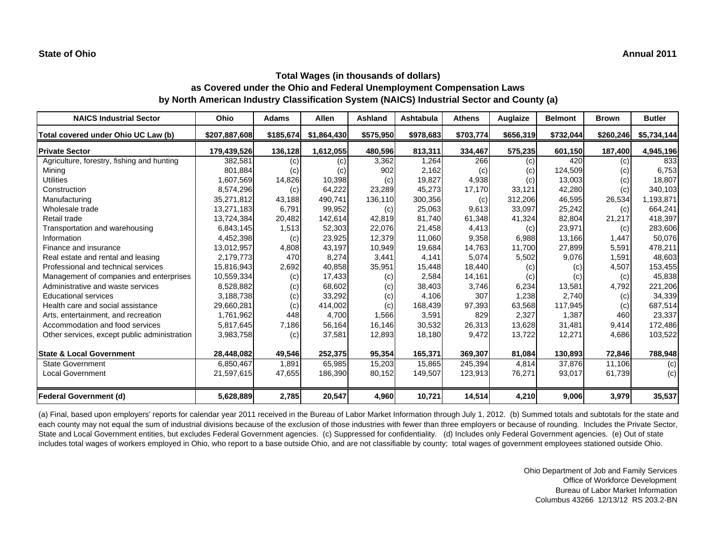| <b>NAICS Industrial Sector</b>               | Ohio          | <b>Adams</b> | Allen       | <b>Ashland</b> | Ashtabula | <b>Athens</b> | Auglaize  | <b>Belmont</b> | <b>Brown</b> | <b>Butler</b> |
|----------------------------------------------|---------------|--------------|-------------|----------------|-----------|---------------|-----------|----------------|--------------|---------------|
| Total covered under Ohio UC Law (b)          | \$207,887,608 | \$185,674    | \$1,864,430 | \$575,950      | \$978,683 | \$703,774     | \$656,319 | \$732,044      | \$260,246    | \$5,734,144   |
| <b>Private Sector</b>                        | 179,439,526   | 136,128      | 1,612,055   | 480,596        | 813,311   | 334,467       | 575,235   | 601,150        | 187,400      | 4,945,196     |
| Agriculture, forestry, fishing and hunting   | 382,581       | (c)          | (c)         | 3,362          | 1,264     | 266           | (c)       | 420            | (c)          | 833           |
| Mining                                       | 801,884       | (c)          | (c)         | 902            | 2,162     | (c)           | (c)       | 124,509        | (c)          | 6,753         |
| <b>Utilities</b>                             | 1,607,569     | 14,826       | 10,398      | (c)            | 19,827    | 4,938         | (c)       | 13,003         | (c)          | 18,807        |
| Construction                                 | 8,574,296     | (c)          | 64,222      | 23,289         | 45,273    | 17,170        | 33,121    | 42,280         | (c)          | 340,103       |
| Manufacturing                                | 35,271,812    | 43,188       | 490,741     | 136,110        | 300,356   | (c)           | 312,206   | 46,595         | 26,534       | 1,193,871     |
| Wholesale trade                              | 13,271,183    | 6,791        | 99,952      | (c)            | 25,063    | 9,613         | 33,097    | 25,242         | (c)          | 664,241       |
| Retail trade                                 | 13,724,384    | 20,482       | 142,614     | 42,819         | 81,740    | 61,348        | 41,324    | 82,804         | 21,217       | 418,397       |
| Transportation and warehousing               | 6,843,145     | 1,513        | 52,303      | 22,076         | 21,458    | 4,413         | (c)       | 23,971         | (c)          | 283,606       |
| Information                                  | 4,452,398     | (c)          | 23,925      | 12,379         | 11.060    | 9,358         | 6,988     | 13,166         | 1,447        | 50,076        |
| Finance and insurance                        | 13,012,957    | 4,808        | 43,197      | 10,949         | 19,684    | 14,763        | 11,700    | 27,899         | 5,591        | 478,211       |
| Real estate and rental and leasing           | 2,179,773     | 470          | 8,274       | 3,441          | 4,141     | 5,074         | 5,502     | 9,076          | 1.591        | 48,603        |
| Professional and technical services          | 15,816,943    | 2,692        | 40,858      | 35,951         | 15,448    | 18,440        | (c)       | (c)            | 4,507        | 153,455       |
| Management of companies and enterprises      | 10,559,334    | (c)          | 17,433      | (c)            | 2,584     | 14,161        | (c)       | (c)            | (c)          | 45,838        |
| Administrative and waste services            | 8,528,882     | (c)          | 68,602      | (c)            | 38,403    | 3,746         | 6,234     | 13,581         | 4,792        | 221,206       |
| <b>Educational services</b>                  | 3,188,738     | (c)          | 33,292      | (c)            | 4,106     | 307           | 1,238     | 2,740          | (c)          | 34,339        |
| Health care and social assistance            | 29,660,281    | (c)          | 414,002     | (c)            | 168,439   | 97,393        | 63,568    | 117,945        | (c)          | 687,514       |
| Arts, entertainment, and recreation          | 1,761,962     | 448          | 4,700       | 1,566          | 3,591     | 829           | 2,327     | 1,387          | 460          | 23,337        |
| Accommodation and food services              | 5,817,645     | 7,186        | 56,164      | 16,146         | 30,532    | 26,313        | 13,628    | 31,481         | 9,414        | 172,486       |
| Other services, except public administration | 3,983,758     | (c)          | 37,581      | 12,893         | 18,180    | 9,472         | 13,722    | 12,271         | 4,686        | 103,522       |
| <b>State &amp; Local Government</b>          | 28,448,082    | 49,546       | 252,375     | 95,354         | 165,371   | 369,307       | 81,084    | 130,893        | 72,846       | 788,948       |
| <b>State Government</b>                      | 6,850,467     | 1,891        | 65,985      | 15,203         | 15,865    | 245,394       | 4.814     | 37,876         | 11.106       | (c)           |
| <b>Local Government</b>                      | 21,597,615    | 47,655       | 186,390     | 80,152         | 149,507   | 123,913       | 76,271    | 93,017         | 61.739       | (c)           |
| <b>Federal Government (d)</b>                | 5,628,889     | 2,785        | 20,547      | 4,960          | 10,721    | 14,514        | 4,210     | 9,006          | 3,979        | 35,537        |

(a) Final, based upon employers' reports for calendar year 2011 received in the Bureau of Labor Market Information through July 1, 2012. (b) Summed totals and subtotals for the state and each county may not equal the sum of industrial divisions because of the exclusion of those industries with fewer than three employers or because of rounding. Includes the Private Sector, State and Local Government entities, but excludes Federal Government agencies. (c) Suppressed for confidentiality. (d) Includes only Federal Government agencies. (e) Out of state includes total wages of workers employed in Ohio, who report to a base outside Ohio, and are not classifiable by county; total wages of government employees stationed outside Ohio.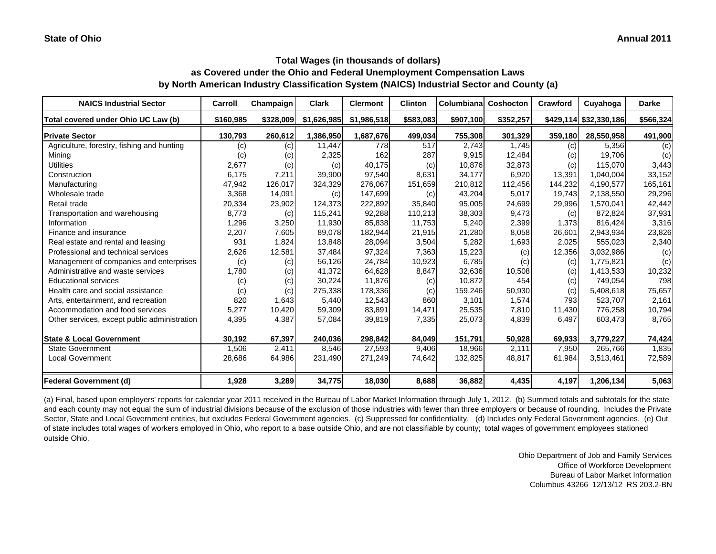| <b>NAICS Industrial Sector</b>               | Carroll   | Champaign | <b>Clark</b> | <b>Clermont</b> | <b>Clinton</b> | <b>Columbiana</b> | Coshocton | Crawford | Cuyahoga               | <b>Darke</b> |
|----------------------------------------------|-----------|-----------|--------------|-----------------|----------------|-------------------|-----------|----------|------------------------|--------------|
| Total covered under Ohio UC Law (b)          | \$160,985 | \$328,009 | \$1,626,985  | \$1,986,518     | \$583,083      | \$907,100         | \$352,257 |          | \$429,114 \$32,330,186 | \$566,324    |
| <b>Private Sector</b>                        | 130,793   | 260,612   | 1,386,950    | 1,687,676       | 499,034        | 755,308           | 301,329   | 359,180  | 28.550.958             | 491,900      |
| Agriculture, forestry, fishing and hunting   | (c)       | (c)       | 11,447       | 778             | 517            | 2,743             | 1,745     | (c)      | 5,356                  | (c)          |
| Mining                                       | (c)       | (c)       | 2,325        | 162             | 287            | 9.915             | 12,484    | (c)      | 19.706                 | (c)          |
| <b>Utilities</b>                             | 2,677     | (c)       | (c)          | 40,175          | (c)            | 10,876            | 32,873    | (c)      | 115,070                | 3,443        |
| Construction                                 | 6,175     | 7,211     | 39,900       | 97,540          | 8,631          | 34,177            | 6,920     | 13,391   | 1.040.004              | 33,152       |
| Manufacturing                                | 47,942    | 126,017   | 324,329      | 276,067         | 151,659        | 210,812           | 112,456   | 144,232  | 4,190,577              | 165,161      |
| Wholesale trade                              | 3,368     | 14,091    | (c)          | 147.699         | (c)            | 43,204            | 5,017     | 19,743   | 2,138,550              | 29,296       |
| Retail trade                                 | 20,334    | 23,902    | 124,373      | 222,892         | 35,840         | 95,005            | 24,699    | 29,996   | 1,570,041              | 42,442       |
| Transportation and warehousing               | 8,773     | (c)       | 115,241      | 92,288          | 110,213        | 38,303            | 9,473     | (c)      | 872.824                | 37,931       |
| Information                                  | 1,296     | 3,250     | 11,930       | 85,838          | 11,753         | 5,240             | 2,399     | 1,373    | 816,424                | 3,316        |
| Finance and insurance                        | 2,207     | 7,605     | 89,078       | 182,944         | 21,915         | 21,280            | 8,058     | 26,601   | 2,943,934              | 23,826       |
| Real estate and rental and leasing           | 931       | 1,824     | 13,848       | 28,094          | 3,504          | 5,282             | 1,693     | 2,025    | 555,023                | 2,340        |
| Professional and technical services          | 2,626     | 12,581    | 37,484       | 97,324          | 7,363          | 15,223            | (c)       | 12,356   | 3,032,986              | (c)          |
| Management of companies and enterprises      | (c)       | (c)       | 56,126       | 24,784          | 10,923         | 6,785             | (c)       | (c)      | 1,775,821              | (c)          |
| Administrative and waste services            | 1,780     | (c)       | 41,372       | 64,628          | 8,847          | 32,636            | 10,508    | (c)      | 1,413,533              | 10,232       |
| <b>Educational services</b>                  | (c)       | (c)       | 30,224       | 11,876          | (c)            | 10,872            | 454       | (c)      | 749,054                | 798          |
| Health care and social assistance            | (c)       | (c)       | 275,338      | 178,336         | (c)            | 159,246           | 50,930    | (c)      | 5,408,618              | 75,657       |
| Arts, entertainment, and recreation          | 820       | 1,643     | 5,440        | 12,543          | 860            | 3,101             | 1,574     | 793      | 523,707                | 2,161        |
| Accommodation and food services              | 5,277     | 10,420    | 59,309       | 83,891          | 14,471         | 25,535            | 7,810     | 11,430   | 776,258                | 10,794       |
| Other services, except public administration | 4,395     | 4,387     | 57,084       | 39,819          | 7,335          | 25,073            | 4,839     | 6,497    | 603,473                | 8,765        |
| <b>State &amp; Local Government</b>          | 30,192    | 67,397    | 240,036      | 298,842         | 84,049         | 151,791           | 50,928    | 69,933   | 3,779,227              | 74,424       |
| <b>State Government</b>                      | 1,506     | 2,411     | 8,546        | 27,593          | 9,406          | 18,966            | 2,111     | 7,950    | 265,766                | 1,835        |
| <b>Local Government</b>                      | 28,686    | 64,986    | 231,490      | 271,249         | 74,642         | 132,825           | 48,817    | 61,984   | 3,513,461              | 72,589       |
| <b>Federal Government (d)</b>                | 1,928     | 3,289     | 34,775       | 18,030          | 8,688          | 36,882            | 4,435     | 4,197    | 1,206,134              | 5,063        |

(a) Final, based upon employers' reports for calendar year 2011 received in the Bureau of Labor Market Information through July 1, 2012. (b) Summed totals and subtotals for the state and each county may not equal the sum of industrial divisions because of the exclusion of those industries with fewer than three employers or because of rounding. Includes the Private Sector, State and Local Government entities, but excludes Federal Government agencies. (c) Suppressed for confidentiality. (d) Includes only Federal Government agencies. (e) Out of state includes total wages of workers employed in Ohio, who report to a base outside Ohio, and are not classifiable by county; total wages of government employees stationed outside Ohio.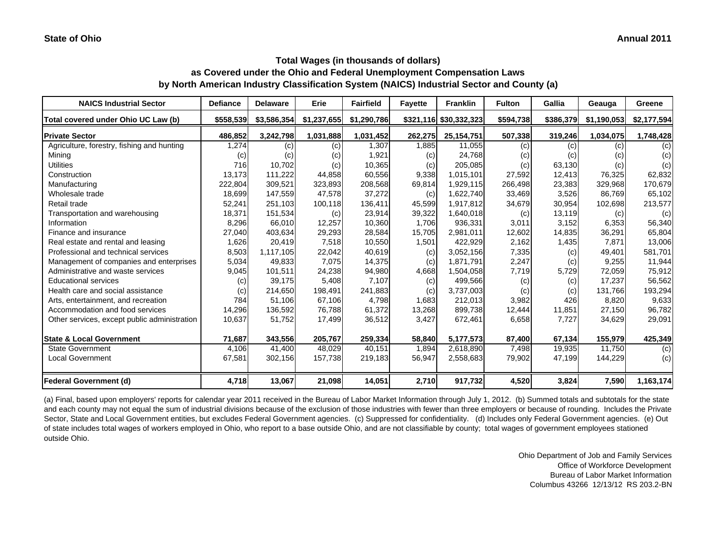#### **Annual 2011**

# **Total Wages (in thousands of dollars) as Covered under the Ohio and Federal Unemployment Compensation Laws by North American Industry Classification System (NAICS) Industrial Sector and County (a)**

| <b>NAICS Industrial Sector</b>               | <b>Defiance</b> | <b>Delaware</b> | Erie        | <b>Fairfield</b> | <b>Favette</b> | <b>Franklin</b>        | <b>Fulton</b> | Gallia    | Geauga      | Greene      |
|----------------------------------------------|-----------------|-----------------|-------------|------------------|----------------|------------------------|---------------|-----------|-------------|-------------|
| Total covered under Ohio UC Law (b)          | \$558,539       | \$3,586,354     | \$1,237,655 | \$1,290,786      |                | \$321,116 \$30,332,323 | \$594,738     | \$386,379 | \$1,190,053 | \$2,177,594 |
| <b>Private Sector</b>                        | 486,852         | 3,242,798       | 1,031,888   | 1,031,452        | 262,275        | 25, 154, 751           | 507,338       | 319,246   | 1,034,075   | 1,748,428   |
| Agriculture, forestry, fishing and hunting   | 1,274           | (c)             | (c)         | 1,307            | 1,885          | 11,055                 | (c)           | (c)       | (c)         | (c)         |
| Mining                                       | (c)             | (c)             | (c)         | 1,921            | (c)            | 24,768                 | (c)           | (c)       | (c)         | (c)         |
| <b>Utilities</b>                             | 716             | 10,702          | (c)         | 10,365           | (c)            | 205,085                | (c)           | 63,130    | (c)         | (c)         |
| Construction                                 | 13,173          | 111,222         | 44,858      | 60,556           | 9,338          | 1,015,101              | 27,592        | 12,413    | 76,325      | 62,832      |
| Manufacturing                                | 222,804         | 309,521         | 323,893     | 208,568          | 69,814         | 1,929,115              | 266,498       | 23,383    | 329,968     | 170,679     |
| Wholesale trade                              | 18,699          | 147,559         | 47,578      | 37,272           | (c)            | 1,622,740              | 33,469        | 3,526     | 86,769      | 65,102      |
| Retail trade                                 | 52,241          | 251,103         | 100,118     | 136,411          | 45,599         | 1,917,812              | 34,679        | 30,954    | 102,698     | 213,577     |
| Transportation and warehousing               | 18,371          | 151,534         | (c)         | 23,914           | 39,322         | 1,640,018              | (c)           | 13,119    | (c)         | (c)         |
| Information                                  | 8,296           | 66,010          | 12,257      | 10,360           | 1,706          | 936,331                | 3,011         | 3,152     | 6,353       | 56,340      |
| Finance and insurance                        | 27,040          | 403,634         | 29,293      | 28,584           | 15,705         | 2,981,011              | 12,602        | 14,835    | 36,291      | 65,804      |
| Real estate and rental and leasing           | 1,626           | 20,419          | 7,518       | 10,550           | 1,501          | 422,929                | 2,162         | 1,435     | 7,871       | 13,006      |
| Professional and technical services          | 8,503           | 1,117,105       | 22,042      | 40,619           | (c)            | 3,052,156              | 7,335         | (c)       | 49,401      | 581,701     |
| Management of companies and enterprises      | 5,034           | 49,833          | 7,075       | 14,375           | (c)            | 1,871,791              | 2,247         | (c)       | 9,255       | 11,944      |
| Administrative and waste services            | 9,045           | 101,511         | 24,238      | 94,980           | 4,668          | 1,504,058              | 7,719         | 5,729     | 72,059      | 75,912      |
| <b>Educational services</b>                  | (c)             | 39,175          | 5,408       | 7,107            | (c)            | 499,566                | (c)           | (c)       | 17,237      | 56,562      |
| Health care and social assistance            | (c)             | 214,650         | 198,491     | 241,883          | (c)            | 3,737,003              | (c)           | (c)       | 131.766     | 193,294     |
| Arts, entertainment, and recreation          | 784             | 51,106          | 67,106      | 4,798            | 1,683          | 212,013                | 3,982         | 426       | 8,820       | 9,633       |
| Accommodation and food services              | 14,296          | 136,592         | 76,788      | 61,372           | 13,268         | 899,738                | 12,444        | 11,851    | 27,150      | 96,782      |
| Other services, except public administration | 10,637          | 51,752          | 17,499      | 36,512           | 3,427          | 672,461                | 6,658         | 7,727     | 34,629      | 29,091      |
| <b>State &amp; Local Government</b>          | 71,687          | 343,556         | 205,767     | 259,334          | 58,840         | 5,177,573              | 87,400        | 67,134    | 155,979     | 425,349     |
| <b>State Government</b>                      | 4,106           | 41,400          | 48,029      | 40,151           | 1,894          | 2,618,890              | 7,498         | 19,935    | 11,750      | (c)         |
| <b>Local Government</b>                      | 67,581          | 302,156         | 157,738     | 219,183          | 56,947         | 2,558,683              | 79,902        | 47,199    | 144,229     | (c)         |
| <b>Federal Government (d)</b>                | 4,718           | 13,067          | 21,098      | 14,051           | 2,710          | 917,732                | 4,520         | 3,824     | 7,590       | 1,163,174   |

(a) Final, based upon employers' reports for calendar year 2011 received in the Bureau of Labor Market Information through July 1, 2012. (b) Summed totals and subtotals for the state and each county may not equal the sum of industrial divisions because of the exclusion of those industries with fewer than three employers or because of rounding. Includes the Private Sector, State and Local Government entities, but excludes Federal Government agencies. (c) Suppressed for confidentiality. (d) Includes only Federal Government agencies. (e) Out of state includes total wages of workers employed in Ohio, who report to a base outside Ohio, and are not classifiable by county; total wages of government employees stationed outside Ohio.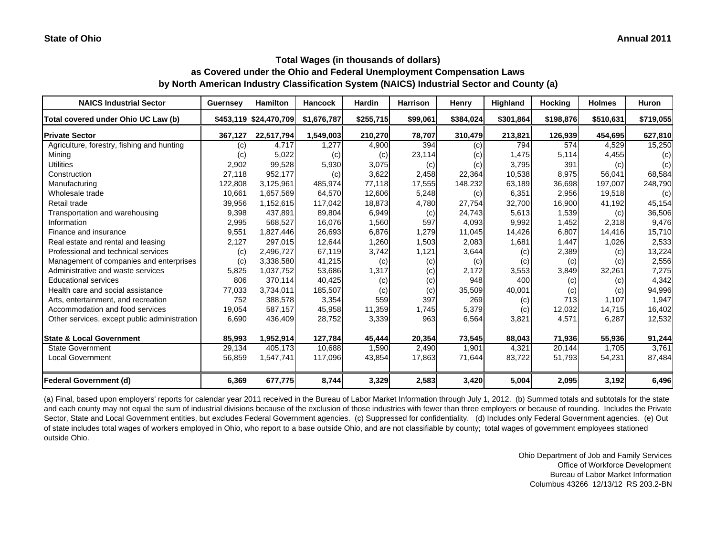#### **Annual 2011**

## **Total Wages (in thousands of dollars) as Covered under the Ohio and Federal Unemployment Compensation Laws by North American Industry Classification System (NAICS) Industrial Sector and County (a)**

| <b>NAICS Industrial Sector</b>               | Guernsey | <b>Hamilton</b>        | <b>Hancock</b> | <b>Hardin</b> | <b>Harrison</b> | Henry     | Highland  | Hocking   | <b>Holmes</b> | Huron     |
|----------------------------------------------|----------|------------------------|----------------|---------------|-----------------|-----------|-----------|-----------|---------------|-----------|
| Total covered under Ohio UC Law (b)          |          | \$453,119 \$24,470,709 | \$1,676,787    | \$255,715     | \$99,061        | \$384,024 | \$301,864 | \$198,876 | \$510,631     | \$719,055 |
| <b>Private Sector</b>                        | 367,127  | 22,517,794             | 1,549,003      | 210,270       | 78,707          | 310,479   | 213,821   | 126,939   | 454,695       | 627,810   |
| Agriculture, forestry, fishing and hunting   | (c)      | 4,717                  | 1,277          | 4,900         | 394             | (c)       | 794       | 574       | 4,529         | 15,250    |
| Mining                                       | (c)      | 5,022                  | (c)            | (c)           | 23,114          | (c)       | 1,475     | 5,114     | 4,455         | (c)       |
| <b>Utilities</b>                             | 2,902    | 99,528                 | 5,930          | 3,075         | (c)             | (c)       | 3,795     | 391       | (c)           | (c)       |
| Construction                                 | 27,118   | 952,177                | (c)            | 3,622         | 2,458           | 22,364    | 10,538    | 8,975     | 56,041        | 68,584    |
| Manufacturing                                | 122,808  | 3,125,961              | 485,974        | 77,118        | 17,555          | 148,232   | 63,189    | 36,698    | 197,007       | 248,790   |
| Wholesale trade                              | 10,661   | 1,657,569              | 64,570         | 12,606        | 5,248           | (c)       | 6,351     | 2,956     | 19,518        | (c)       |
| Retail trade                                 | 39,956   | 1,152,615              | 117,042        | 18,873        | 4,780           | 27,754    | 32,700    | 16,900    | 41,192        | 45,154    |
| Transportation and warehousing               | 9,398    | 437.891                | 89,804         | 6,949         | (c)             | 24,743    | 5,613     | 1,539     | (c)           | 36,506    |
| Information                                  | 2,995    | 568,527                | 16,076         | 1,560         | 597             | 4,093     | 9,992     | 1,452     | 2,318         | 9,476     |
| Finance and insurance                        | 9,551    | 1,827,446              | 26,693         | 6,876         | 1,279           | 11,045    | 14,426    | 6,807     | 14,416        | 15,710    |
| Real estate and rental and leasing           | 2,127    | 297,015                | 12,644         | 1,260         | 1,503           | 2,083     | 1,681     | 1,447     | 1,026         | 2,533     |
| Professional and technical services          | (c)      | 2,496,727              | 67,119         | 3,742         | 1,121           | 3,644     | (c)       | 2,389     | (c)           | 13,224    |
| Management of companies and enterprises      | (c)      | 3,338,580              | 41,215         | (c)           | (c)             | (c)       | (c)       | (c)       | (c)           | 2,556     |
| Administrative and waste services            | 5,825    | 1,037,752              | 53,686         | 1,317         | (c)             | 2,172     | 3,553     | 3,849     | 32,261        | 7,275     |
| <b>Educational services</b>                  | 806      | 370,114                | 40,425         | (c)           | (c)             | 948       | 400       | (c)       | (c)           | 4,342     |
| Health care and social assistance            | 77,033   | 3,734,011              | 185,507        | (c)           | (c)             | 35,509    | 40,001    | (c)       | (c)           | 94,996    |
| Arts, entertainment, and recreation          | 752      | 388,578                | 3,354          | 559           | 397             | 269       | (c)       | 713       | 1,107         | 1,947     |
| Accommodation and food services              | 19,054   | 587,157                | 45,958         | 11,359        | 1,745           | 5,379     | (c)       | 12,032    | 14,715        | 16,402    |
| Other services, except public administration | 6,690    | 436,409                | 28,752         | 3,339         | 963             | 6,564     | 3,821     | 4,571     | 6,287         | 12,532    |
| <b>State &amp; Local Government</b>          | 85,993   | 1,952,914              | 127,784        | 45,444        | 20,354          | 73,545    | 88,043    | 71,936    | 55,936        | 91,244    |
| <b>State Government</b>                      | 29,134   | 405,173                | 10,688         | 1,590         | 2,490           | 1,901     | 4,321     | 20,144    | 1,705         | 3,761     |
| <b>Local Government</b>                      | 56,859   | 1,547,741              | 117,096        | 43,854        | 17,863          | 71,644    | 83,722    | 51,793    | 54,231        | 87,484    |
| <b>Federal Government (d)</b>                | 6,369    | 677,775                | 8,744          | 3,329         | 2,583           | 3,420     | 5,004     | 2,095     | 3,192         | 6,496     |

(a) Final, based upon employers' reports for calendar year 2011 received in the Bureau of Labor Market Information through July 1, 2012. (b) Summed totals and subtotals for the state and each county may not equal the sum of industrial divisions because of the exclusion of those industries with fewer than three employers or because of rounding. Includes the Private Sector, State and Local Government entities, but excludes Federal Government agencies. (c) Suppressed for confidentiality. (d) Includes only Federal Government agencies. (e) Out of state includes total wages of workers employed in Ohio, who report to a base outside Ohio, and are not classifiable by county; total wages of government employees stationed outside Ohio.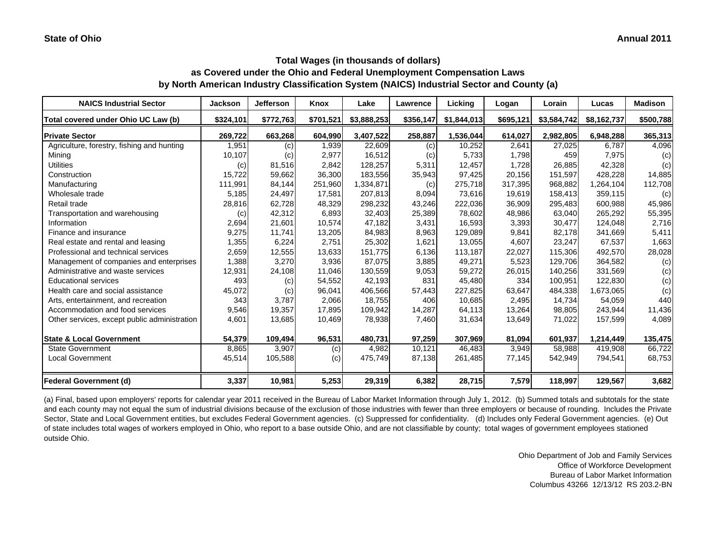| <b>NAICS Industrial Sector</b>               | <b>Jackson</b> | <b>Jefferson</b> | Knox      | Lake        | Lawrence  | Licking     | Logan     | Lorain      | Lucas       | <b>Madison</b> |
|----------------------------------------------|----------------|------------------|-----------|-------------|-----------|-------------|-----------|-------------|-------------|----------------|
| Total covered under Ohio UC Law (b)          | \$324,101      | \$772,763        | \$701,521 | \$3,888,253 | \$356,147 | \$1,844,013 | \$695,121 | \$3,584,742 | \$8,162,737 | \$500,788      |
| <b>Private Sector</b>                        | 269,722        | 663,268          | 604,990   | 3,407,522   | 258,887   | 1,536,044   | 614,027   | 2,982,805   | 6,948,288   | 365,313        |
| Agriculture, forestry, fishing and hunting   | 1,951          | (c)              | 1,939     | 22,609      | (c)       | 10,252      | 2,641     | 27,025      | 6,787       | 4,096          |
| Mining                                       | 10,107         | (c)              | 2,977     | 16,512      | (c)       | 5,733       | 1,798     | 459         | 7,975       | (c)            |
| <b>Utilities</b>                             | (c)            | 81,516           | 2,842     | 128,257     | 5,311     | 12,457      | 1,728     | 26,885      | 42,328      | (c)            |
| Construction                                 | 15,722         | 59,662           | 36,300    | 183,556     | 35,943    | 97,425      | 20,156    | 151,597     | 428,228     | 14,885         |
| Manufacturing                                | 111,991        | 84,144           | 251,960   | 1,334,871   | (c)       | 275,718     | 317,395   | 968,882     | 1,264,104   | 112,708        |
| Wholesale trade                              | 5,185          | 24,497           | 17,581    | 207,813     | 8,094     | 73,616      | 19,619    | 158,413     | 359,115     | (c)            |
| Retail trade                                 | 28,816         | 62,728           | 48,329    | 298,232     | 43,246    | 222,036     | 36,909    | 295,483     | 600,988     | 45,986         |
| Transportation and warehousing               | (c)            | 42,312           | 6,893     | 32,403      | 25,389    | 78,602      | 48,986    | 63,040      | 265,292     | 55,395         |
| Information                                  | 2,694          | 21,601           | 10,574    | 47,182      | 3,431     | 16,593      | 3,393     | 30,477      | 124,048     | 2,716          |
| Finance and insurance                        | 9,275          | 11,741           | 13,205    | 84,983      | 8,963     | 129,089     | 9,841     | 82,178      | 341,669     | 5,411          |
| Real estate and rental and leasing           | 1,355          | 6,224            | 2,751     | 25,302      | 1,621     | 13,055      | 4,607     | 23,247      | 67,537      | 1,663          |
| Professional and technical services          | 2,659          | 12,555           | 13,633    | 151,775     | 6,136     | 113,187     | 22,027    | 115,306     | 492,570     | 28,028         |
| Management of companies and enterprises      | 1,388          | 3,270            | 3,936     | 87,075      | 3,885     | 49,271      | 5,523     | 129,706     | 364,582     | (c)            |
| Administrative and waste services            | 12,931         | 24,108           | 11,046    | 130,559     | 9,053     | 59,272      | 26,015    | 140,256     | 331,569     | (c)            |
| <b>Educational services</b>                  | 493            | (c)              | 54,552    | 42,193      | 831       | 45,480      | 334       | 100,951     | 122,830     | (c)            |
| Health care and social assistance            | 45,072         | (c)              | 96,041    | 406,566     | 57,443    | 227,825     | 63,647    | 484,338     | 1,673,065   | (c)            |
| Arts, entertainment, and recreation          | 343            | 3,787            | 2,066     | 18,755      | 406       | 10,685      | 2,495     | 14,734      | 54,059      | 440            |
| Accommodation and food services              | 9,546          | 19,357           | 17,895    | 109,942     | 14,287    | 64,113      | 13,264    | 98,805      | 243,944     | 11,436         |
| Other services, except public administration | 4,601          | 13,685           | 10,469    | 78,938      | 7,460     | 31,634      | 13,649    | 71,022      | 157,599     | 4,089          |
| <b>State &amp; Local Government</b>          | 54,379         | 109,494          | 96,531    | 480,731     | 97,259    | 307,969     | 81,094    | 601,937     | 1,214,449   | 135,475        |
| <b>State Government</b>                      | 8,865          | 3,907            | (c)       | 4,982       | 10,121    | 46,483      | 3,949     | 58,988      | 419,908     | 66,722         |
| <b>Local Government</b>                      | 45,514         | 105,588          | (c)       | 475,749     | 87,138    | 261,485     | 77,145    | 542,949     | 794,541     | 68,753         |
| <b>Federal Government (d)</b>                | 3,337          | 10,981           | 5,253     | 29,319      | 6,382     | 28,715      | 7,579     | 118,997     | 129,567     | 3,682          |

(a) Final, based upon employers' reports for calendar year 2011 received in the Bureau of Labor Market Information through July 1, 2012. (b) Summed totals and subtotals for the state and each county may not equal the sum of industrial divisions because of the exclusion of those industries with fewer than three employers or because of rounding. Includes the Private Sector, State and Local Government entities, but excludes Federal Government agencies. (c) Suppressed for confidentiality. (d) Includes only Federal Government agencies. (e) Out of state includes total wages of workers employed in Ohio, who report to a base outside Ohio, and are not classifiable by county; total wages of government employees stationed outside Ohio.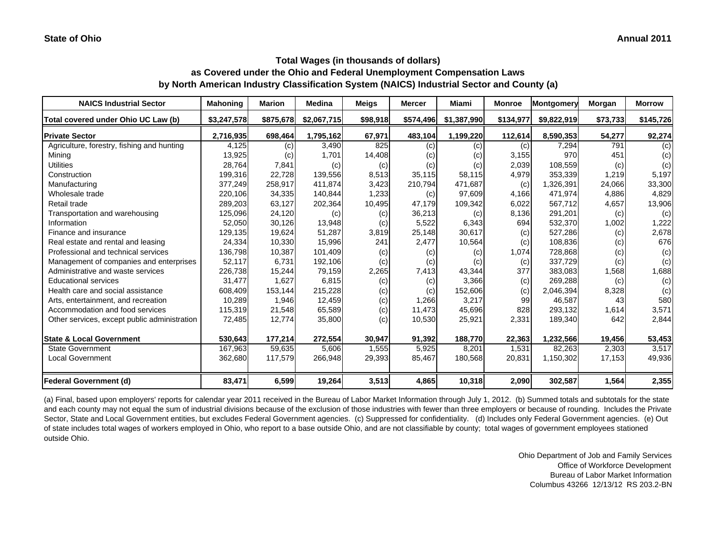# **Total Wages (in thousands of dollars)**

**as Covered under the Ohio and Federal Unemployment Compensation Laws by North American Industry Classification System (NAICS) Industrial Sector and County (a)**

| <b>NAICS Industrial Sector</b>               | <b>Mahoning</b> | Marion    | <b>Medina</b> | <b>Meigs</b> | <b>Mercer</b> | Miami       | <b>Monroe</b> | Montgomery  | Morgan   | <b>Morrow</b> |
|----------------------------------------------|-----------------|-----------|---------------|--------------|---------------|-------------|---------------|-------------|----------|---------------|
| Total covered under Ohio UC Law (b)          | \$3,247,578     | \$875,678 | \$2,067,715   | \$98,918     | \$574,496     | \$1,387,990 | \$134,977     | \$9,822,919 | \$73,733 | \$145,726     |
| <b>Private Sector</b>                        | 2,716,935       | 698,464   | 1,795,162     | 67,971       | 483,104       | 1,199,220   | 112,614       | 8,590,353   | 54,277   | 92,274        |
| Agriculture, forestry, fishing and hunting   | 4,125           | (c)       | 3,490         | 825          | (c)           | (c)         | (c)           | 7,294       | 791      | (c)           |
| Mining                                       | 13,925          | (c)       | 1,701         | 14,408       | (c)           | (c)         | 3,155         | 970         | 451      | (c)           |
| <b>Utilities</b>                             | 28,764          | 7,841     | (c)           | (c)          | (c)           | (c)         | 2,039         | 108,559     | (c)      | (c)           |
| Construction                                 | 199,316         | 22,728    | 139,556       | 8,513        | 35,115        | 58,115      | 4,979         | 353,339     | 1,219    | 5,197         |
| Manufacturing                                | 377,249         | 258,917   | 411,874       | 3,423        | 210,794       | 471,687     | (c)           | 1,326,391   | 24,066   | 33,300        |
| Wholesale trade                              | 220,106         | 34,335    | 140,844       | 1,233        | (c)           | 97,609      | 4,166         | 471,974     | 4,886    | 4,829         |
| Retail trade                                 | 289,203         | 63,127    | 202,364       | 10,495       | 47,179        | 109,342     | 6,022         | 567,712     | 4,657    | 13,906        |
| Transportation and warehousing               | 125,096         | 24,120    | (c)           | (c)          | 36,213        | (c)         | 8,136         | 291,201     | (c)      | (c)           |
| Information                                  | 52,050          | 30,126    | 13,948        | (c)          | 5,522         | 6,343       | 694           | 532,370     | 1,002    | 1,222         |
| Finance and insurance                        | 129,135         | 19,624    | 51,287        | 3,819        | 25,148        | 30,617      | (c)           | 527,286     | (c)      | 2,678         |
| Real estate and rental and leasing           | 24,334          | 10,330    | 15,996        | 241          | 2,477         | 10,564      | (c)           | 108,836     | (c)      | 676           |
| Professional and technical services          | 136,798         | 10,387    | 101,409       | (c)          | (c)           | (c)         | 1,074         | 728,868     | (c)      | (c)           |
| Management of companies and enterprises      | 52,117          | 6,731     | 192,106       | (c)          | (c)           | (c)         | (c)           | 337,729     | (c)      | (c)           |
| Administrative and waste services            | 226,738         | 15,244    | 79,159        | 2,265        | 7,413         | 43,344      | 377           | 383.083     | 1,568    | 1,688         |
| <b>Educational services</b>                  | 31,477          | 1,627     | 6,815         | (c)          | (c)           | 3,366       | (c)           | 269,288     | (c)      | (c)           |
| Health care and social assistance            | 608,409         | 153,144   | 215,228       | (c)          | (c)           | 152,606     | (c)           | 2,046,394   | 8,328    | (c)           |
| Arts, entertainment, and recreation          | 10,289          | 1,946     | 12,459        | (c)          | 1,266         | 3,217       | 99            | 46,587      | 43       | 580           |
| Accommodation and food services              | 115,319         | 21,548    | 65,589        | (c)          | 11,473        | 45,696      | 828           | 293,132     | 1,614    | 3,571         |
| Other services, except public administration | 72,485          | 12,774    | 35,800        | (c)          | 10,530        | 25,921      | 2,331         | 189,340     | 642      | 2,844         |
| <b>State &amp; Local Government</b>          | 530,643         | 177,214   | 272,554       | 30,947       | 91,392        | 188,770     | 22,363        | 1,232,566   | 19,456   | 53,453        |
| <b>State Government</b>                      | 167,963         | 59,635    | 5,606         | 1,555        | 5,925         | 8,201       | 1,531         | 82,263      | 2,303    | 3,517         |
| <b>Local Government</b>                      | 362,680         | 117,579   | 266,948       | 29,393       | 85,467        | 180,568     | 20,831        | 1,150,302   | 17,153   | 49,936        |
| <b>Federal Government (d)</b>                | 83,471          | 6,599     | 19,264        | 3,513        | 4,865         | 10,318      | 2,090         | 302,587     | 1,564    | 2,355         |

(a) Final, based upon employers' reports for calendar year 2011 received in the Bureau of Labor Market Information through July 1, 2012. (b) Summed totals and subtotals for the state and each county may not equal the sum of industrial divisions because of the exclusion of those industries with fewer than three employers or because of rounding. Includes the Private Sector, State and Local Government entities, but excludes Federal Government agencies. (c) Suppressed for confidentiality. (d) Includes only Federal Government agencies. (e) Out of state includes total wages of workers employed in Ohio, who report to a base outside Ohio, and are not classifiable by county; total wages of government employees stationed outside Ohio.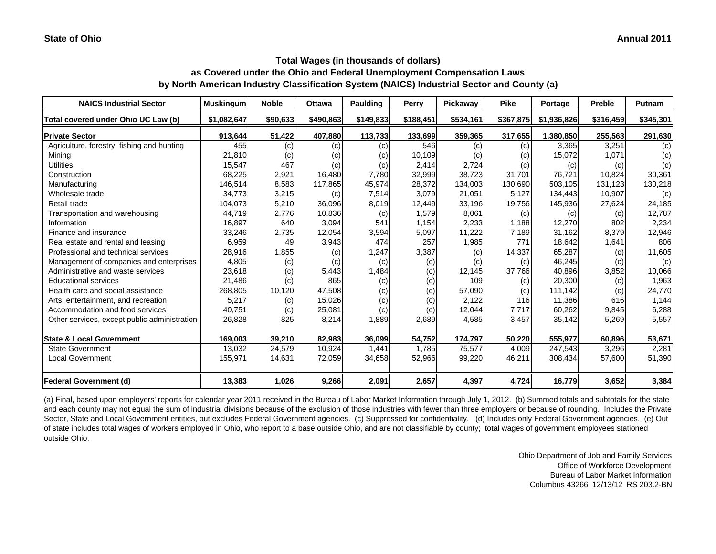| <b>NAICS Industrial Sector</b>               | <b>Muskingum</b> | <b>Noble</b> | Ottawa    | <b>Paulding</b> | Perry     | Pickaway  | <b>Pike</b> | Portage     | Preble    | <b>Putnam</b> |
|----------------------------------------------|------------------|--------------|-----------|-----------------|-----------|-----------|-------------|-------------|-----------|---------------|
| Total covered under Ohio UC Law (b)          | \$1.082.647      | \$90,633     | \$490.863 | \$149,833       | \$188,451 | \$534.161 | \$367,875   | \$1,936,826 | \$316,459 | \$345,301     |
| <b>Private Sector</b>                        | 913,644          | 51,422       | 407,880   | 113,733         | 133,699   | 359,365   | 317,655     | 1,380,850   | 255,563   | 291,630       |
| Agriculture, forestry, fishing and hunting   | 455              | (c)          | (c)       | (c)             | 546       | (c)       | (c)         | 3,365       | 3,251     | (c)           |
| Mining                                       | 21,810           | (c)          | (c)       | (c)             | 10,109    | (c)       | (c)         | 15,072      | 1,071     | (c)           |
| <b>Utilities</b>                             | 15,547           | 467          | (c)       | (c)             | 2,414     | 2,724     | (c)         | (c)         | (c)       | (c)           |
| Construction                                 | 68,225           | 2,921        | 16,480    | 7,780           | 32,999    | 38,723    | 31.701      | 76.721      | 10.824    | 30,361        |
| Manufacturing                                | 146,514          | 8,583        | 117,865   | 45,974          | 28,372    | 134,003   | 130,690     | 503,105     | 131,123   | 130,218       |
| Wholesale trade                              | 34,773           | 3,215        | (c)       | 7,514           | 3,079     | 21,051    | 5,127       | 134,443     | 10,907    | (c)           |
| Retail trade                                 | 104,073          | 5,210        | 36,096    | 8,019           | 12,449    | 33,196    | 19,756      | 145,936     | 27,624    | 24,185        |
| Transportation and warehousing               | 44,719           | 2,776        | 10,836    | (c)             | 1,579     | 8,061     | (c)         | (c)         | (c)       | 12,787        |
| Information                                  | 16,897           | 640          | 3,094     | 541             | 1,154     | 2,233     | 1,188       | 12,270      | 802       | 2,234         |
| Finance and insurance                        | 33,246           | 2,735        | 12,054    | 3,594           | 5,097     | 11,222    | 7,189       | 31,162      | 8,379     | 12,946        |
| Real estate and rental and leasing           | 6,959            | 49           | 3,943     | 474             | 257       | 1,985     | 771         | 18,642      | 1,641     | 806           |
| Professional and technical services          | 28,916           | 1,855        | (c)       | 1,247           | 3,387     | (c)       | 14,337      | 65,287      | (c)       | 11,605        |
| Management of companies and enterprises      | 4,805            | (c)          | (c)       | (c)             | (c)       | (c)       | (c)         | 46,245      | (c)       | (c)           |
| Administrative and waste services            | 23,618           | (c)          | 5,443     | 1,484           | (c)       | 12,145    | 37,766      | 40,896      | 3,852     | 10,066        |
| <b>Educational services</b>                  | 21,486           | (c)          | 865       | (c)             | (c)       | 109       | (c)         | 20,300      | (c)       | 1,963         |
| Health care and social assistance            | 268,805          | 10,120       | 47,508    | (c)             | (c)       | 57,090    | (c)         | 111,142     | (c)       | 24,770        |
| Arts, entertainment, and recreation          | 5,217            | (c)          | 15,026    | (c)             | (c)       | 2,122     | 116         | 11,386      | 616       | 1,144         |
| Accommodation and food services              | 40,751           | (c)          | 25,081    | (c)             | (c)       | 12,044    | 7,717       | 60,262      | 9.845     | 6,288         |
| Other services, except public administration | 26,828           | 825          | 8,214     | 1,889           | 2,689     | 4,585     | 3,457       | 35,142      | 5,269     | 5,557         |
| <b>State &amp; Local Government</b>          | 169,003          | 39,210       | 82,983    | 36,099          | 54,752    | 174,797   | 50,220      | 555,977     | 60,896    | 53,671        |
| <b>State Government</b>                      | 13,032           | 24,579       | 10,924    | 1,441           | 1.785     | 75,577    | 4,009       | 247,543     | 3,296     | 2,281         |
| <b>Local Government</b>                      | 155,971          | 14,631       | 72,059    | 34,658          | 52,966    | 99,220    | 46,211      | 308,434     | 57,600    | 51,390        |
| <b>Federal Government (d)</b>                | 13,383           | 1,026        | 9,266     | 2,091           | 2,657     | 4,397     | 4,724       | 16,779      | 3,652     | 3,384         |

(a) Final, based upon employers' reports for calendar year 2011 received in the Bureau of Labor Market Information through July 1, 2012. (b) Summed totals and subtotals for the state and each county may not equal the sum of industrial divisions because of the exclusion of those industries with fewer than three employers or because of rounding. Includes the Private Sector, State and Local Government entities, but excludes Federal Government agencies. (c) Suppressed for confidentiality. (d) Includes only Federal Government agencies. (e) Out of state includes total wages of workers employed in Ohio, who report to a base outside Ohio, and are not classifiable by county; total wages of government employees stationed outside Ohio.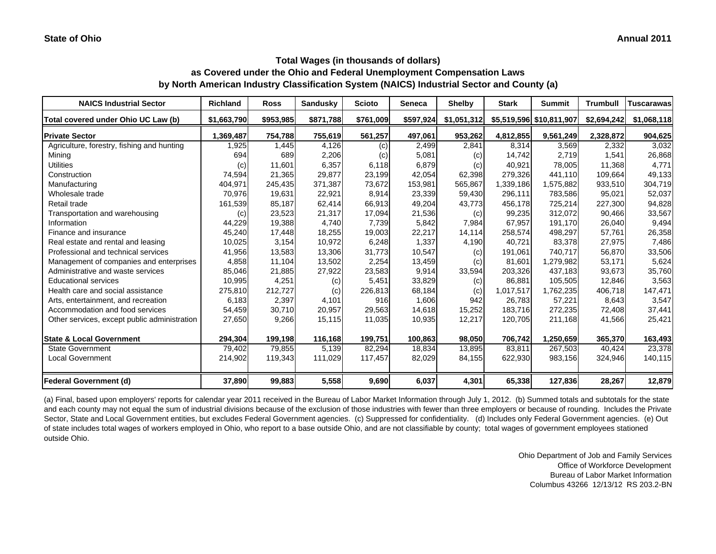## **Total Wages (in thousands of dollars) as Covered under the Ohio and Federal Unemployment Compensation Laws**

**by North American Industry Classification System (NAICS) Industrial Sector and County (a)**

| <b>NAICS Industrial Sector</b>               | <b>Richland</b> | <b>Ross</b> | Sandusky  | <b>Scioto</b> | <b>Seneca</b> | <b>Shelby</b> | <b>Stark</b> | <b>Summit</b>            | Trumbull    | <b>Tuscarawas</b> |
|----------------------------------------------|-----------------|-------------|-----------|---------------|---------------|---------------|--------------|--------------------------|-------------|-------------------|
| Total covered under Ohio UC Law (b)          | \$1,663,790     | \$953,985   | \$871,788 | \$761,009     | \$597,924     | \$1,051,312   |              | \$5,519,596 \$10,811,907 | \$2,694,242 | \$1,068,118       |
| <b>Private Sector</b>                        | 1,369,487       | 754,788     | 755,619   | 561,257       | 497,061       | 953,262       | 4,812,855    | 9,561,249                | 2,328,872   | 904,625           |
| Agriculture, forestry, fishing and hunting   | 1,925           | 1,445       | 4,126     | (c)           | 2,499         | 2,841         | 8,314        | 3,569                    | 2,332       | 3,032             |
| Mining                                       | 694             | 689         | 2,206     | (c)           | 5,081         | (c)           | 14,742       | 2,719                    | 1,541       | 26,868            |
| <b>Utilities</b>                             | (c)             | 11,601      | 6,357     | 6,118         | 6,879         | (c)           | 40,921       | 78,005                   | 11,368      | 4,771             |
| Construction                                 | 74,594          | 21,365      | 29,877    | 23,199        | 42,054        | 62,398        | 279,326      | 441.110                  | 109,664     | 49,133            |
| Manufacturing                                | 404,971         | 245,435     | 371,387   | 73,672        | 153,981       | 565,867       | 1,339,186    | 1,575,882                | 933,510     | 304,719           |
| Wholesale trade                              | 70.976          | 19,631      | 22,921    | 8.914         | 23,339        | 59,430        | 296.111      | 783,586                  | 95.021      | 52,037            |
| Retail trade                                 | 161,539         | 85,187      | 62,414    | 66,913        | 49,204        | 43,773        | 456,178      | 725,214                  | 227,300     | 94,828            |
| Transportation and warehousing               | (c)             | 23,523      | 21,317    | 17,094        | 21,536        | (c)           | 99,235       | 312.072                  | 90,466      | 33,567            |
| Information                                  | 44,229          | 19,388      | 4.740     | 7.739         | 5,842         | 7,984         | 67.957       | 191.170                  | 26,040      | 9,494             |
| Finance and insurance                        | 45,240          | 17,448      | 18,255    | 19,003        | 22,217        | 14,114        | 258,574      | 498,297                  | 57,761      | 26,358            |
| Real estate and rental and leasing           | 10,025          | 3,154       | 10,972    | 6,248         | 1,337         | 4,190         | 40.721       | 83,378                   | 27,975      | 7,486             |
| Professional and technical services          | 41,956          | 13,583      | 13,306    | 31,773        | 10,547        | (c)           | 191,061      | 740,717                  | 56,870      | 33,506            |
| Management of companies and enterprises      | 4,858           | 11,104      | 13,502    | 2,254         | 13,459        | (c)           | 81.601       | 1,279,982                | 53,171      | 5,624             |
| Administrative and waste services            | 85,046          | 21,885      | 27,922    | 23,583        | 9,914         | 33,594        | 203,326      | 437,183                  | 93,673      | 35,760            |
| <b>Educational services</b>                  | 10,995          | 4,251       | (c)       | 5,451         | 33,829        | (c)           | 86,881       | 105,505                  | 12,846      | 3,563             |
| Health care and social assistance            | 275,810         | 212,727     | (c)       | 226,813       | 68,184        | (c)           | 1,017,517    | 1,762,235                | 406,718     | 147,471           |
| Arts, entertainment, and recreation          | 6,183           | 2,397       | 4,101     | 916           | 1,606         | 942           | 26,783       | 57,221                   | 8,643       | 3,547             |
| Accommodation and food services              | 54,459          | 30,710      | 20,957    | 29,563        | 14,618        | 15,252        | 183,716      | 272,235                  | 72,408      | 37,441            |
| Other services, except public administration | 27,650          | 9,266       | 15,115    | 11,035        | 10,935        | 12,217        | 120,705      | 211,168                  | 41,566      | 25,421            |
| <b>State &amp; Local Government</b>          | 294,304         | 199.198     | 116,168   | 199,751       | 100,863       | 98,050        | 706,742      | 1.250.659                | 365,370     | 163,493           |
| <b>State Government</b>                      | 79,402          | 79,855      | 5,139     | 82,294        | 18,834        | 13,895        | 83.811       | 267,503                  | 40,424      | 23,378            |
| <b>Local Government</b>                      | 214,902         | 119,343     | 111,029   | 117,457       | 82,029        | 84,155        | 622,930      | 983,156                  | 324,946     | 140,115           |
| Federal Government (d)                       | 37,890          | 99,883      | 5,558     | 9,690         | 6,037         | 4,301         | 65,338       | 127,836                  | 28,267      | 12,879            |

(a) Final, based upon employers' reports for calendar year 2011 received in the Bureau of Labor Market Information through July 1, 2012. (b) Summed totals and subtotals for the state and each county may not equal the sum of industrial divisions because of the exclusion of those industries with fewer than three employers or because of rounding. Includes the Private Sector, State and Local Government entities, but excludes Federal Government agencies. (c) Suppressed for confidentiality. (d) Includes only Federal Government agencies. (e) Out of state includes total wages of workers employed in Ohio, who report to a base outside Ohio, and are not classifiable by county; total wages of government employees stationed outside Ohio.